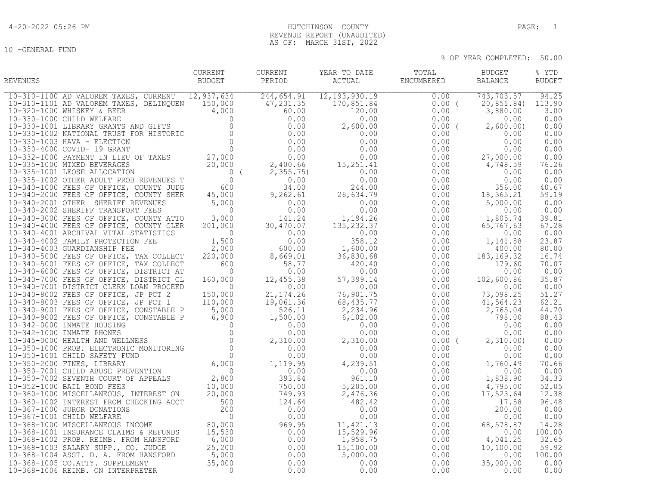# 4-20-2022 05:26 PM HUTCHINSON COUNTY PAGE: 1 REVENUE REPORT (UNAUDITED) AS OF: MARCH 31ST, 2022

| REVENUES | CURRENT<br>BUDGET | PERIOD | CURRENT YEAR TO DATE | TOTAL BUDGET<br>${\tt ACTUAL} \hspace{2.3cm} {\tt ENCUMBERED} \hspace{2.3cm} {\tt BALANCE}$ | % YTD<br><b>BUDGET</b> |
|----------|-------------------|--------|----------------------|---------------------------------------------------------------------------------------------|------------------------|
|          |                   |        |                      |                                                                                             |                        |
|          |                   |        |                      |                                                                                             |                        |
|          |                   |        |                      |                                                                                             |                        |
|          |                   |        |                      |                                                                                             |                        |
|          |                   |        |                      |                                                                                             |                        |
|          |                   |        |                      |                                                                                             |                        |
|          |                   |        |                      |                                                                                             |                        |
|          |                   |        |                      |                                                                                             |                        |
|          |                   |        |                      |                                                                                             |                        |
|          |                   |        |                      |                                                                                             |                        |
|          |                   |        |                      |                                                                                             |                        |
|          |                   |        |                      |                                                                                             |                        |
|          |                   |        |                      |                                                                                             |                        |
|          |                   |        |                      |                                                                                             |                        |
|          |                   |        |                      |                                                                                             |                        |
|          |                   |        |                      |                                                                                             |                        |
|          |                   |        |                      |                                                                                             |                        |
|          |                   |        |                      |                                                                                             |                        |
|          |                   |        |                      |                                                                                             |                        |
|          |                   |        |                      |                                                                                             |                        |
|          |                   |        |                      |                                                                                             |                        |
|          |                   |        |                      |                                                                                             |                        |
|          |                   |        |                      |                                                                                             |                        |
|          |                   |        |                      |                                                                                             |                        |
|          |                   |        |                      |                                                                                             |                        |
|          |                   |        |                      |                                                                                             |                        |
|          |                   |        |                      |                                                                                             |                        |
|          |                   |        |                      |                                                                                             |                        |
|          |                   |        |                      |                                                                                             |                        |
|          |                   |        |                      |                                                                                             |                        |
|          |                   |        |                      |                                                                                             |                        |
|          |                   |        |                      |                                                                                             |                        |
|          |                   |        |                      |                                                                                             |                        |
|          |                   |        |                      |                                                                                             |                        |
|          |                   |        |                      |                                                                                             |                        |
|          |                   |        |                      |                                                                                             |                        |
|          |                   |        |                      |                                                                                             |                        |
|          |                   |        |                      |                                                                                             |                        |
|          |                   |        |                      |                                                                                             |                        |
|          |                   |        |                      |                                                                                             |                        |
|          |                   |        |                      |                                                                                             |                        |
|          |                   |        |                      |                                                                                             |                        |
|          |                   |        |                      |                                                                                             |                        |
|          |                   |        |                      |                                                                                             |                        |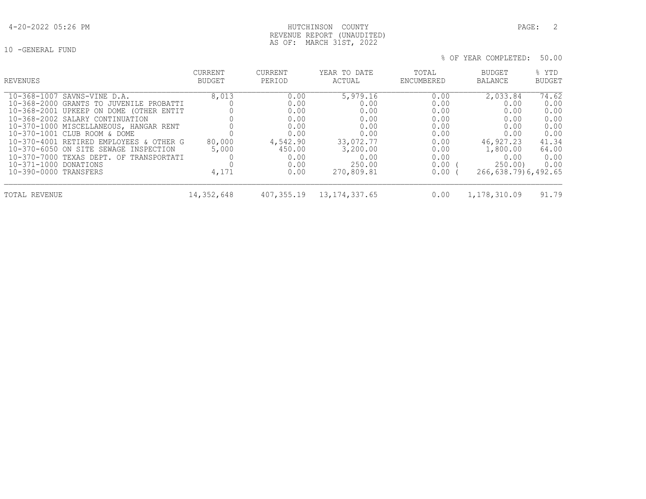10 -GENERAL FUND

% OF YEAR COMPLETED: 50.00

| REVENUES                                | <b>CURRENT</b> | CURRENT    | YEAR TO DATE     | TOTAL      | BUDGET              | % YTD         |
|-----------------------------------------|----------------|------------|------------------|------------|---------------------|---------------|
|                                         | <b>BUDGET</b>  | PERIOD     | ACTUAL           | ENCUMBERED | <b>BALANCE</b>      | <b>BUDGET</b> |
| 10-368-1007 SAVNS-VINE D.A.             | 8,013          | 0.00       | 5,979.16         | 0.00       | 2,033.84            | 74.62         |
| 10-368-2000 GRANTS TO JUVENILE PROBATTI |                | 0.00       | 0.00             | 0.00       | 0.00                | 0.00          |
| 10-368-2001 UPKEEP ON DOME (OTHER ENTIT |                | 0.00       | 0.00             | 0.00       | 0.00                | 0.00          |
| 10-368-2002 SALARY CONTINUATION         |                | 0.00       | 0.00             | 0.00       | 0.00                | 0.00          |
| 10-370-1000 MISCELLANEOUS, HANGAR RENT  |                | 0.00       | 0.00             | 0.00       | 0.00                | 0.00          |
| 10-370-1001 CLUB ROOM & DOME            |                | 0.00       | 0.00             | 0.00       | 0.00                | 0.00          |
| 10-370-4001 RETIRED EMPLOYEES & OTHER G | 80,000         | 4,542.90   | 33,072.77        | 0.00       | 46,927.23           | 41.34         |
| 10-370-6050 ON SITE SEWAGE INSPECTION   | 5,000          | 450.00     | 3,200.00         | 0.00       | 1,800.00            | 64.00         |
| 10-370-7000 TEXAS DEPT. OF TRANSPORTATI |                | 0.00       | 0.00             | 0.00       | 0.00                | 0.00          |
| 10-371-1000 DONATIONS                   |                | 0.00       | 250.00           | 0.00       | 250.00              | 0.00          |
| 10-390-0000 TRANSFERS                   | 4,171          | 0.00       | 270,809.81       | 0.00       | 266,638.79)6,492.65 |               |
| TOTAL REVENUE                           | 14,352,648     | 407,355.19 | 13, 174, 337, 65 | 0.00       | 1,178,310.09        | 91.79         |

AS OF: MARCH 31ST, 2022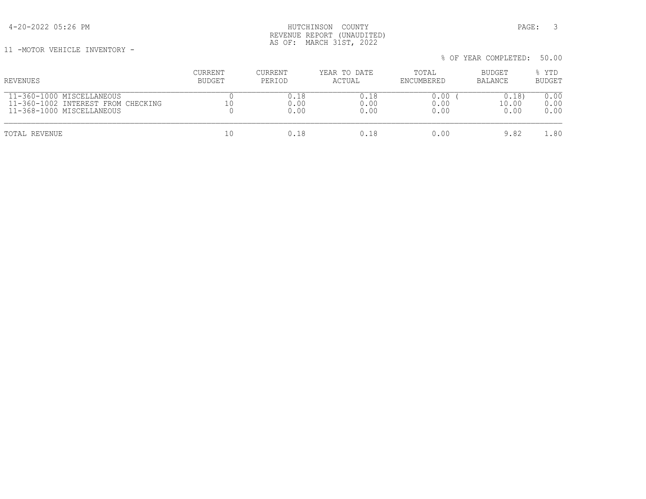11 -MOTOR VEHICLE INVENTORY -

| REVENUES                                                                                     | CURRENT<br>BUDGET | CURRENT<br>PERIOD | YEAR TO DATE<br>ACTUAL | TOTAL<br>ENCUMBERED  | BUDGET<br>BALANCE     | % YTD<br><b>BUDGET</b> |
|----------------------------------------------------------------------------------------------|-------------------|-------------------|------------------------|----------------------|-----------------------|------------------------|
| 11-360-1000 MISCELLANEOUS<br>11-360-1002 INTEREST FROM CHECKING<br>11-368-1000 MISCELLANEOUS | 10                | 0.00<br>0.00      | 0.18<br>0.00<br>0.00   | 0.00<br>0.00<br>0.00 | 0.18<br>10.00<br>0.00 | 0.00<br>0.00<br>0.00   |
| TOTAL REVENUE                                                                                | 10                | 0.18              | 0.18                   | 0.00                 | 9.82                  | 80                     |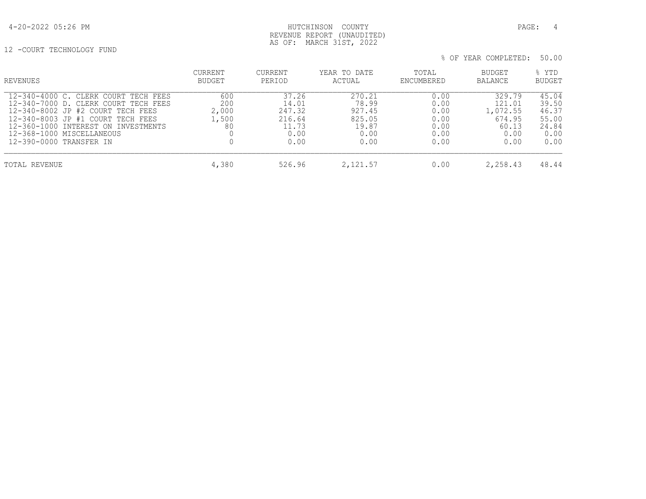# 4-20-2022 05:26 PM HUTCHINSON COUNTY PAGE: 4 REVENUE REPORT (UNAUDITED) AS OF: MARCH 31ST, 2022

12 -COURT TECHNOLOGY FUND

| REVENUES                                                                                                                                                                                                                                              | <b>CURRENT</b><br>BUDGET           | CURRENT<br>PERIOD                                           | YEAR TO DATE<br>ACTUAL                                       | TOTAL<br>ENCUMBERED                                  | <b>BUDGET</b><br><b>BALANCE</b>                                 | % YTD<br>BUDGET                                           |
|-------------------------------------------------------------------------------------------------------------------------------------------------------------------------------------------------------------------------------------------------------|------------------------------------|-------------------------------------------------------------|--------------------------------------------------------------|------------------------------------------------------|-----------------------------------------------------------------|-----------------------------------------------------------|
| 12-340-4000 C. CLERK COURT TECH FEES<br>12-340-7000 D. CLERK COURT TECH FEES<br>12-340-8002 JP #2 COURT TECH FEES<br>12-340-8003 JP #1 COURT TECH FEES<br>12-360-1000 INTEREST ON INVESTMENTS<br>12-368-1000 MISCELLANEOUS<br>12-390-0000 TRANSFER IN | 600<br>200<br>2,000<br>1,500<br>80 | 37.26<br>14.01<br>247.32<br>216.64<br>11.73<br>0.00<br>0.00 | 270.21<br>78.99<br>927.45<br>825.05<br>19.87<br>0.00<br>0.00 | 0.00<br>0.00<br>0.00<br>0.00<br>0.00<br>0.00<br>0.00 | 329.79<br>121.01<br>1,072.55<br>674.95<br>60.13<br>0.00<br>0.00 | 45.04<br>39.50<br>46.37<br>55.00<br>24.84<br>0.00<br>0.00 |
| TOTAL REVENUE                                                                                                                                                                                                                                         | 4,380                              | 526.96                                                      | 2,121.57                                                     | 0.00                                                 | 2,258.43                                                        | 48.44                                                     |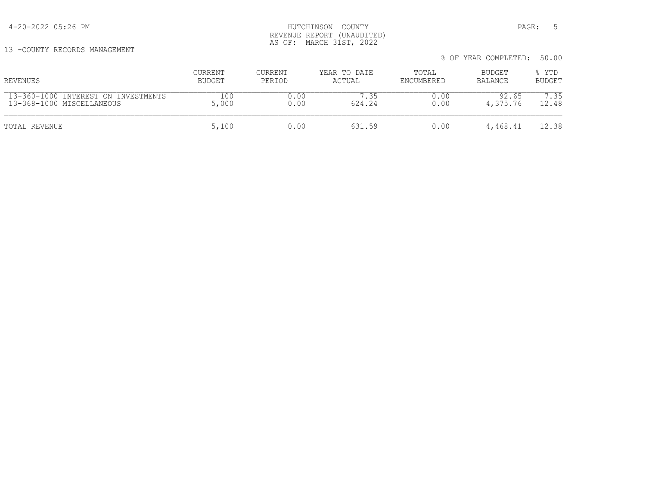# 4-20-2022 05:26 PM HUTCHINSON COUNTY PAGE: 5 REVENUE REPORT (UNAUDITED) AS OF: MARCH 31ST, 2022

13 -COUNTY RECORDS MANAGEMENT

| REVENUES                            | <b>CURRENT</b> | <b>CURRENT</b> | YEAR TO DATE | TOTAL      | BUDGET   | % YTD         |
|-------------------------------------|----------------|----------------|--------------|------------|----------|---------------|
|                                     | BUDGET         | PERIOD         | ACTUAL       | ENCUMBERED | BALANCE  | <b>BUDGET</b> |
| 13-360-1000 INTEREST ON INVESTMENTS | 100            | 0.00           | 7.35         | 0.00       | 92.65    | 7.35          |
| 13-368-1000 MISCELLANEOUS           | 5,000          | 0.00           | 624.24       | 0.00       | 4,375.76 | 12.48         |
| TOTAL REVENUE                       | 5,100          | 0.00           | 631.59       | 0.00       | 4,468.41 | 12.38         |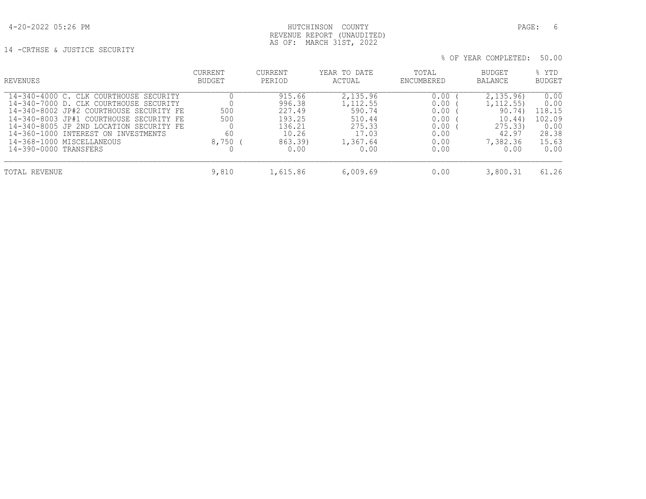### 4-20-2022 05:26 PM HUTCHINSON COUNTY PAGE: 6 REVENUE REPORT (UNAUDITED) AS OF: MARCH 31ST, 2022

14 -CRTHSE & JUSTICE SECURITY

| <b>REVENUES</b>                                                                                                                                                                                                                                                                                                | CURRENT<br><b>BUDGET</b>  | CURRENT<br>PERIOD                                                          | YEAR TO DATE<br>ACTUAL                                                          | TOTAL<br>ENCUMBERED                                          | <b>BUDGET</b><br>BALANCE                                                          | % YTD<br>BUDGET                                                    |
|----------------------------------------------------------------------------------------------------------------------------------------------------------------------------------------------------------------------------------------------------------------------------------------------------------------|---------------------------|----------------------------------------------------------------------------|---------------------------------------------------------------------------------|--------------------------------------------------------------|-----------------------------------------------------------------------------------|--------------------------------------------------------------------|
| 14-340-4000 C. CLK COURTHOUSE SECURITY<br>14-340-7000 D. CLK COURTHOUSE SECURITY<br>14-340-8002 JP#2 COURTHOUSE SECURITY FE<br>14-340-8003 JP#1 COURTHOUSE SECURITY FE<br>14-340-8005 JP 2ND LOCATION SECURITY FE<br>14-360-1000 INTEREST ON INVESTMENTS<br>14-368-1000 MISCELLANEOUS<br>14-390-0000 TRANSFERS | 500<br>500<br>60<br>8,750 | 915.66<br>996.38<br>227.49<br>193.25<br>136.21<br>10.26<br>863.39)<br>0.00 | 2,135.96<br>1,112.55<br>590.74<br>510.44<br>275.33<br>17.03<br>1,367.64<br>0.00 | 0.00<br>0.00<br>0.00<br>0.00<br>0.00<br>0.00<br>0.00<br>0.00 | 2,135.96<br>1, 112.55)<br>90.74)<br>10.44)<br>275.33<br>42.97<br>7,382.36<br>0.00 | 0.00<br>0.00<br>118.15<br>102.09<br>0.00<br>28.38<br>15.63<br>0.00 |
| TOTAL REVENUE                                                                                                                                                                                                                                                                                                  | 9,810                     | 1,615.86                                                                   | 6,009.69                                                                        | 0.00                                                         | 3,800.31                                                                          | 61.26                                                              |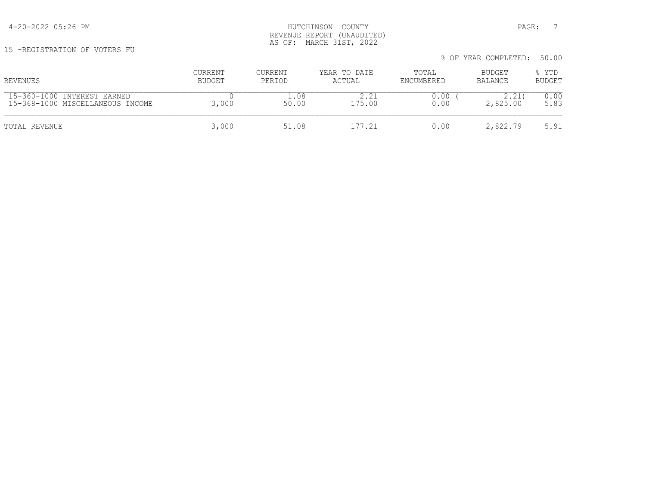15 -REGISTRATION OF VOTERS FU

| REVENUES                                                        | CURRENT<br>BUDGET | <b>CURRENT</b><br>PERIOD | YEAR TO DATE<br>ACTUAL | TOTAL<br>ENCUMBERED | BUDGET<br>BALANCE | % YTD<br><b>BUDGET</b> |
|-----------------------------------------------------------------|-------------------|--------------------------|------------------------|---------------------|-------------------|------------------------|
| 15-360-1000 INTEREST EARNED<br>15-368-1000 MISCELLANEOUS INCOME | 3,000             | 08<br>50.00              | 175.00                 | 0.00<br>0.00        | 2.21<br>2,825.00  | 0.00<br>5.83           |
| TOTAL REVENUE                                                   | 3,000             | 51.08                    | 177.21                 | 0.00                | 2,822.79          | 5.91                   |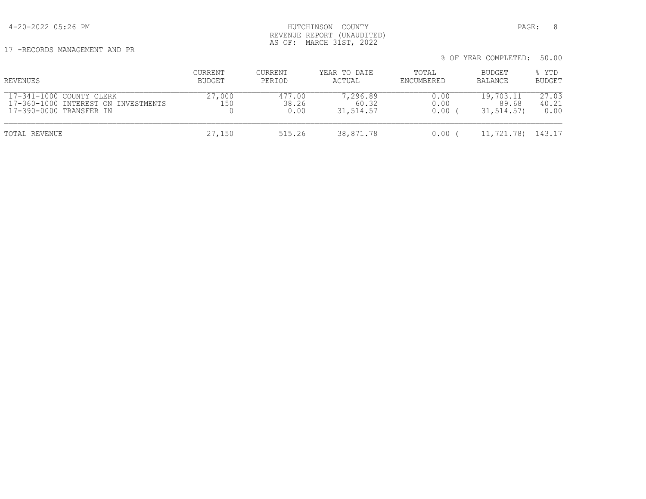4-20-2022 05:26 PM HUTCHINSON COUNTY PAGE: 8 REVENUE REPORT (UNAUDITED) AS OF: MARCH 31ST, 2022

17 -RECORDS MANAGEMENT AND PR

| REVENUES                                                                                   | CURRENT<br>BUDGET | CURRENT<br>PERIOD       | YEAR TO DATE<br>ACTUAL         | TOTAL<br>ENCUMBERED  | BUDGET<br>BALANCE                | % YTD<br><b>BUDGET</b> |
|--------------------------------------------------------------------------------------------|-------------------|-------------------------|--------------------------------|----------------------|----------------------------------|------------------------|
| 17-341-1000 COUNTY CLERK<br>17-360-1000 INTEREST ON INVESTMENTS<br>17-390-0000 TRANSFER IN | 27,000<br>150     | 477.00<br>38.26<br>0.00 | 7,296.89<br>60.32<br>31,514.57 | 0.00<br>0.00<br>0.00 | 19,703.11<br>89.68<br>31,514.57) | 27.03<br>40.21<br>0.00 |
| TOTAL REVENUE                                                                              | 27,150            | 515.26                  | 38,871.78                      | 0.00                 | 11,721.78)                       | 143.17                 |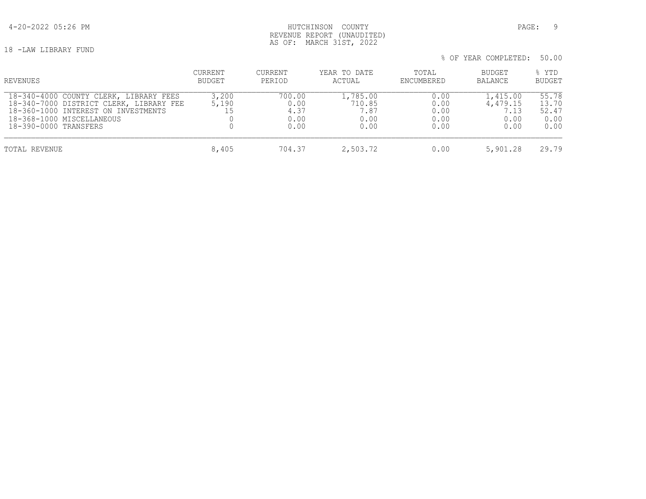# 4-20-2022 05:26 PM HUTCHINSON COUNTY PAGE: 9 REVENUE REPORT (UNAUDITED) AS OF: MARCH 31ST, 2022

18 -LAW LIBRARY FUND

| % OF YEAR COMPLETED: 50.00 |  |
|----------------------------|--|
|----------------------------|--|

| REVENUES                                                                                                                                                                       | CURRENT<br>BUDGET | <b>CURRENT</b><br>PERIOD               | YEAR TO DATE<br>ACTUAL                     | TOTAL<br>ENCUMBERED                  | <b>BUDGET</b><br><b>BALANCE</b>              | % YTD<br><b>BUDGET</b>                  |
|--------------------------------------------------------------------------------------------------------------------------------------------------------------------------------|-------------------|----------------------------------------|--------------------------------------------|--------------------------------------|----------------------------------------------|-----------------------------------------|
| 18-340-4000 COUNTY CLERK, LIBRARY FEES<br>18-340-7000 DISTRICT CLERK, LIBRARY FEE<br>18-360-1000 INTEREST ON INVESTMENTS<br>18-368-1000 MISCELLANEOUS<br>18-390-0000 TRANSFERS | 3,200<br>5,190    | 700.00<br>0.00<br>4.37<br>0.00<br>0.00 | 1,785.00<br>710.85<br>1.87<br>0.00<br>0.00 | 0.00<br>0.00<br>0.00<br>0.00<br>0.00 | 1,415.00<br>4,479.15<br>7.13<br>0.00<br>0.00 | 55.78<br>13.70<br>52.47<br>0.00<br>0.00 |
| TOTAL REVENUE                                                                                                                                                                  | 8,405             | 704.37                                 | 2,503.72                                   | 0.00                                 | 5,901.28                                     | 29.79                                   |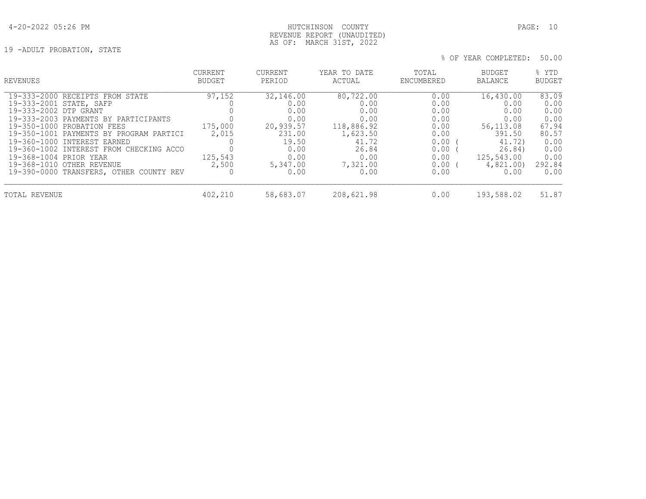# 4-20-2022 05:26 PM HUTCHINSON COUNTY PAGE: 10 REVENUE REPORT (UNAUDITED) AS OF: MARCH 31ST, 2022

19 -ADULT PROBATION, STATE

| <b>REVENUES</b>                         | <b>CURRENT</b> | CURRENT   | YEAR TO DATE | TOTAL      | <b>BUDGET</b> | % YTD         |
|-----------------------------------------|----------------|-----------|--------------|------------|---------------|---------------|
|                                         | BUDGET         | PERIOD    | ACTUAL       | ENCUMBERED | BALANCE       | <b>BUDGET</b> |
| 19-333-2000 RECEIPTS FROM STATE         | 97,152         | 32,146.00 | 80,722.00    | 0.00       | 16,430.00     | 83.09         |
| 19-333-2001 STATE, SAFP                 |                | 0.00      | 0.00         | 0.00       | 0.00          | 0.00          |
| 19-333-2002 DTP GRANT                   |                | 0.00      | 0.00         | 0.00       | 0.00          | 0.00          |
| 19-333-2003 PAYMENTS BY PARTICIPANTS    |                | 0.00      | 0.00         | 0.00       | 0.00          | 0.00          |
| 19-350-1000 PROBATION FEES              | 175,000        | 20,939.57 | 118,886.92   | 0.00       | 56, 113.08    | 67.94         |
| 19-350-1001 PAYMENTS BY PROGRAM PARTICI | 2,015          | 231.00    | 1,623.50     | 0.00       | 391.50        | 80.57         |
| 19-360-1000 INTEREST EARNED             |                | 19.50     | 41.72        | 0.00       | 41.72)        | 0.00          |
| 19-360-1002 INTEREST FROM CHECKING ACCO |                | 0.00      | 26.84        | 0.00       | 26.84)        | 0.00          |
| 19-368-1004 PRIOR YEAR                  | 125,543        | 0.00      | 0.00         | 0.00       | 125,543.00    | 0.00          |
| 19-368-1010 OTHER REVENUE               | 2,500          | 5,347.00  | 7,321.00     | $0.00$ (   | 4,821.00)     | 292.84        |
| 19-390-0000 TRANSFERS, OTHER COUNTY REV |                | 0.00      | 0.00         | 0.00       | 0.00          | 0.00          |
| TOTAL REVENUE                           | 402,210        | 58,683.07 | 208,621.98   | 0.00       | 193,588.02    | 51.87         |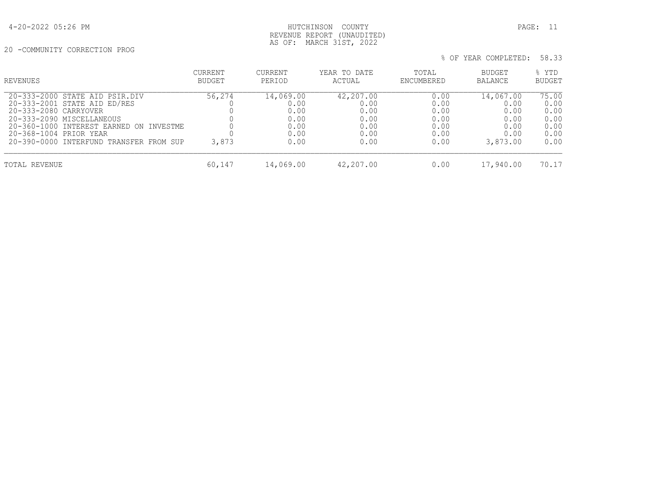20 -COMMUNITY CORRECTION PROG

| REVENUES                                | CURRENT<br>BUDGET | CURRENT<br>PERIOD | YEAR TO DATE<br>ACTUAL | TOTAL<br>ENCUMBERED | BUDGET<br><b>BALANCE</b> | % YTD<br><b>BUDGET</b> |
|-----------------------------------------|-------------------|-------------------|------------------------|---------------------|--------------------------|------------------------|
| 20-333-2000 STATE AID PSIR.DIV          | 56,274            | 14,069.00         | 42,207.00              | 0.00                | 14,067.00                | 75.00                  |
| 20-333-2001 STATE AID ED/RES            |                   | 0.00              | 0.00                   | 0.00                | 0.00                     | 0.00                   |
| 20-333-2080 CARRYOVER                   |                   | 0.00              | 0.00                   | 0.00                | 0.00                     | 0.00                   |
| 20-333-2090 MISCELLANEOUS               |                   | 0.00              | 0.00                   | 0.00                | 0.00                     | 0.00                   |
| 20-360-1000 INTEREST EARNED ON INVESTME |                   | 0.00              | 0.00                   | 0.00                | 0.00                     | 0.00                   |
| 20-368-1004 PRIOR YEAR                  |                   | 0.00              | 0.00                   | 0.00                | 0.00                     | 0.00                   |
| 20-390-0000 INTERFUND TRANSFER FROM SUP | 3,873             | 0.00              | 0.00                   | 0.00                | 3,873.00                 | 0.00                   |
| TOTAL REVENUE                           | 60,147            | 14,069.00         | 42,207.00              | 0.00                | 17,940.00                | 70.17                  |

AS OF: MARCH 31ST, 2022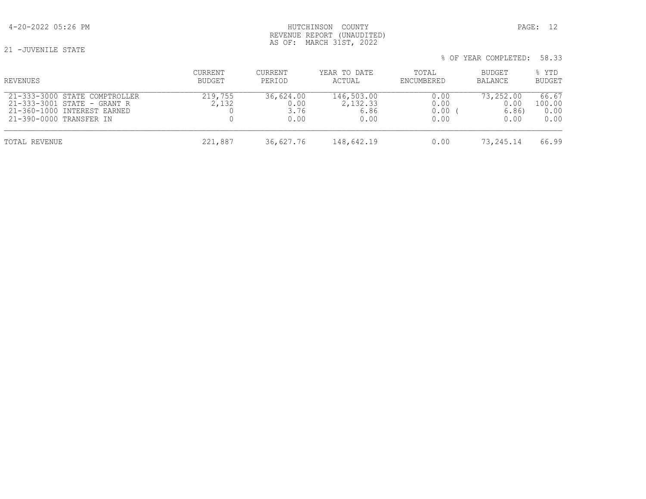21 -JUVENILE STATE

# 4-20-2022 05:26 PM HUTCHINSON COUNTY PAGE: 12 REVENUE REPORT (UNAUDITED) AS OF: MARCH 31ST, 2022

| REVENUES                                                                                                               | CURRENT<br>BUDGET | CURRENT<br>PERIOD                 | YEAR TO DATE<br>ACTUAL                 | TOTAL<br>ENCUMBERED          | BUDGET<br>BALANCE                 | % YTD<br>BUDGET                 |
|------------------------------------------------------------------------------------------------------------------------|-------------------|-----------------------------------|----------------------------------------|------------------------------|-----------------------------------|---------------------------------|
| 21-333-3000 STATE COMPTROLLER<br>21-333-3001 STATE - GRANT R<br>21-360-1000 INTEREST EARNED<br>21-390-0000 TRANSFER IN | 219,755<br>2,132  | 36,624.00<br>0.00<br>3.76<br>0.00 | 146,503.00<br>2,132.33<br>6.86<br>0.00 | 0.00<br>0.00<br>0.00<br>0.00 | 73,252.00<br>0.00<br>6.86<br>0.00 | 66.67<br>100.00<br>0.00<br>0.00 |
| TOTAL REVENUE                                                                                                          | 221,887           | 36,627.76                         | 148,642.19                             | 0.00                         | 73,245.14                         | 66.99                           |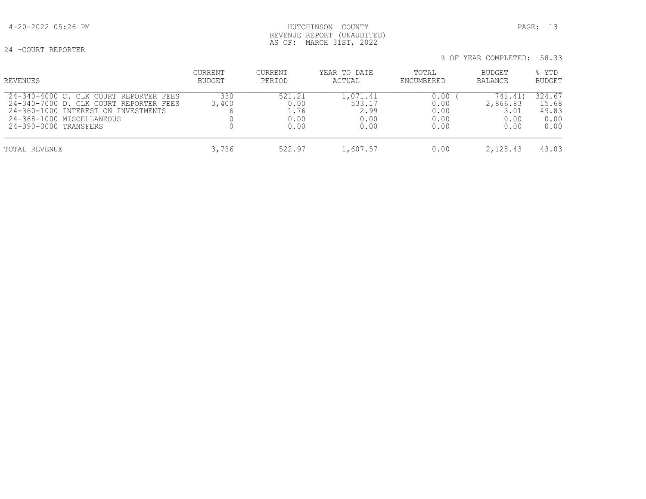# 4-20-2022 05:26 PM HUTCHINSON COUNTY PAGE: 13 REVENUE REPORT (UNAUDITED) AS OF: MARCH 31ST, 2022

24 -COURT REPORTER

| % OF YEAR COMPLETED: 58.33 |  |
|----------------------------|--|
|----------------------------|--|

| REVENUES                                                                                                                                                                      | CURRENT<br><b>BUDGET</b> | CURRENT<br>PERIOD                      | YEAR TO DATE<br>ACTUAL                     | TOTAL<br>ENCUMBERED                  | BUDGET<br><b>BALANCE</b>                    | % YTD<br><b>BUDGET</b>                   |
|-------------------------------------------------------------------------------------------------------------------------------------------------------------------------------|--------------------------|----------------------------------------|--------------------------------------------|--------------------------------------|---------------------------------------------|------------------------------------------|
| 24-340-4000 C. CLK COURT REPORTER FEES<br>24-340-7000 D. CLK COURT REPORTER FEES<br>24-360-1000 INTEREST ON INVESTMENTS<br>24-368-1000 MISCELLANEOUS<br>24-390-0000 TRANSFERS | 330<br>3,400             | 521.21<br>0.00<br>1.76<br>0.00<br>0.00 | 1,071.41<br>533.17<br>2.99<br>0.00<br>0.00 | 0.00<br>0.00<br>0.00<br>0.00<br>0.00 | 741.41)<br>2,866.83<br>3.01<br>0.00<br>0.00 | 324.67<br>15.68<br>49.83<br>0.00<br>0.00 |
| TOTAL REVENUE                                                                                                                                                                 | 3,736                    | 522.97                                 | 1,607.57                                   | 0.00                                 | 2,128.43                                    | 43.03                                    |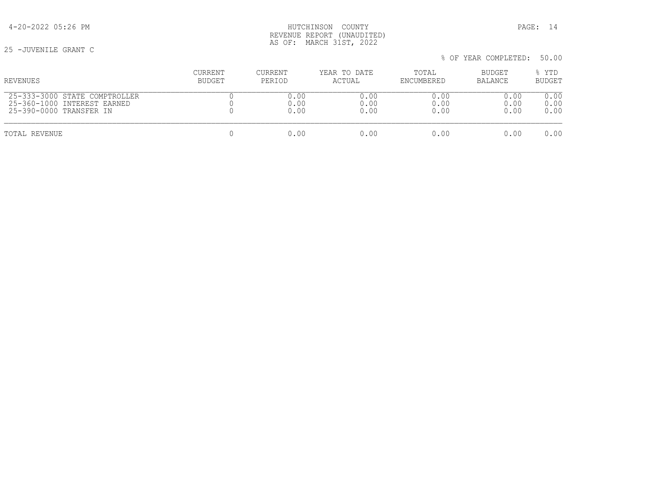25 -JUVENILE GRANT C

| REVENUES                      | <b>CURRENT</b> | <b>CURRENT</b> | YEAR TO DATE | TOTAL      | BUDGET  | % YTD         |
|-------------------------------|----------------|----------------|--------------|------------|---------|---------------|
|                               | BUDGET         | PERIOD         | ACTUAL       | ENCUMBERED | BALANCE | <b>BUDGET</b> |
| 25-333-3000 STATE COMPTROLLER |                | 0.00           | 0.00         | 0.00       | 0.00    | 0.00          |
| 25-360-1000 INTEREST EARNED   |                | 0.00           | 0.00         | 0.00       | 0.00    | 0.00          |
| 25-390-0000 TRANSFER IN       |                | 0.00           | 0.00         | 0.00       | 0.00    | 0.00          |
| TOTAL REVENUE                 |                | 0.00           | 0.00         | 0.00       | 0.00    | 0.00          |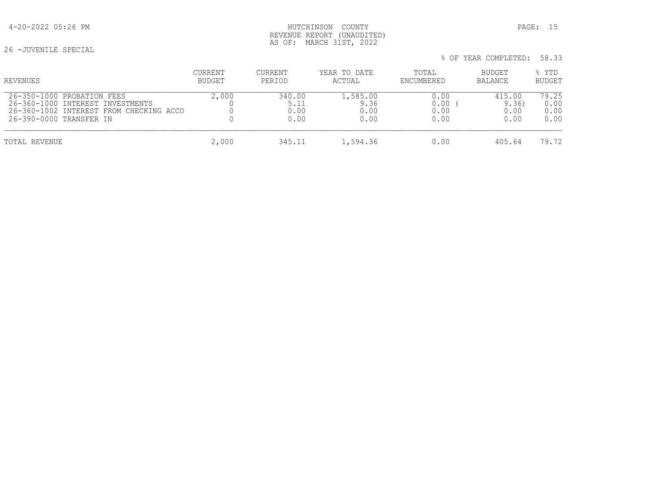# 4-20-2022 05:26 PM HUTCHINSON COUNTY PAGE: 15 REVENUE REPORT (UNAUDITED) AS OF: MARCH 31ST, 2022

26 -JUVENILE SPECIAL

| % OF YEAR COMPLETED: 58.33 |  |
|----------------------------|--|
|----------------------------|--|

| REVENUES                                                                                                                             | CURRENT<br>BUDGET | CURRENT<br>PERIOD      | YEAR TO DATE<br>ACTUAL           | TOTAL<br>ENCUMBERED          | <b>BUDGET</b><br><b>BALANCE</b> | % YTD<br><b>BUDGET</b>        |
|--------------------------------------------------------------------------------------------------------------------------------------|-------------------|------------------------|----------------------------------|------------------------------|---------------------------------|-------------------------------|
| 26-350-1000 PROBATION FEES<br>26-360-1000 INTEREST INVESTMENTS<br>26-360-1002 INTEREST FROM CHECKING ACCO<br>26-390-0000 TRANSFER IN | 2,000             | 340.00<br>0.00<br>0.00 | 1,585.00<br>9.36<br>0.00<br>0.00 | 0.00<br>0.00<br>0.00<br>0.00 | 415.00<br>9.36<br>0.00<br>0.00  | 79.25<br>0.00<br>0.00<br>0.00 |
| TOTAL REVENUE                                                                                                                        | 2,000             | 345.11                 | 1,594.36                         | 0.00                         | 405.64                          | 79.72                         |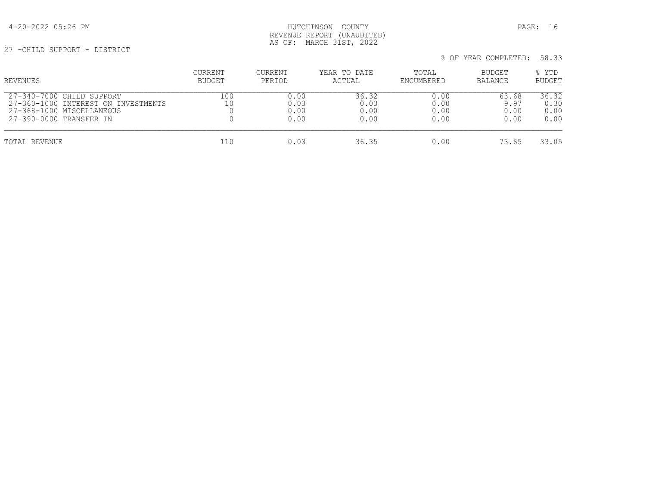# 4-20-2022 05:26 PM HUTCHINSON COUNTY PAGE: 16 REVENUE REPORT (UNAUDITED) AS OF: MARCH 31ST, 2022

27 -CHILD SUPPORT - DISTRICT

| <b>REVENUES</b>                                                                                                            | CURRENT<br>BUDGET | CURRENT<br>PERIOD            | YEAR TO DATE<br>ACTUAL        | TOTAL<br>ENCUMBERED          | BUDGET<br>BALANCE             | % YTD<br><b>BUDGET</b>        |
|----------------------------------------------------------------------------------------------------------------------------|-------------------|------------------------------|-------------------------------|------------------------------|-------------------------------|-------------------------------|
| $27-340-7000$ CHILD SUPPORT<br>27-360-1000 INTEREST ON INVESTMENTS<br>27-368-1000 MISCELLANEOUS<br>27-390-0000 TRANSFER IN | 100<br>10         | 0.00<br>0.03<br>0.00<br>0.00 | 36.32<br>0.03<br>0.00<br>0.00 | 0.00<br>0.00<br>0.00<br>0.00 | 63.68<br>9.97<br>0.00<br>0.00 | 36.32<br>0.30<br>0.00<br>0.00 |
| TOTAL REVENUE                                                                                                              | 110               | 0.03                         | 36.35                         | 0.00                         | 73.65                         | 33.05                         |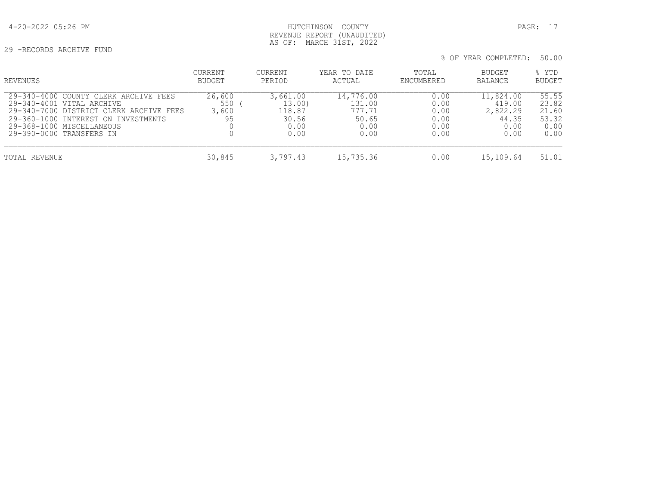29 -RECORDS ARCHIVE FUND

| % OF YEAR COMPLETED: 50.00 |  |
|----------------------------|--|
|----------------------------|--|

| REVENUES                                                                                                                                                                                                      | CURRENT<br>BUDGET            | CURRENT<br>PERIOD                                     | YEAR TO DATE<br>ACTUAL                                 | TOTAL<br>ENCUMBERED                          | <b>BUDGET</b><br>BALANCE                                 | % YTD<br><b>BUDGET</b>                           |
|---------------------------------------------------------------------------------------------------------------------------------------------------------------------------------------------------------------|------------------------------|-------------------------------------------------------|--------------------------------------------------------|----------------------------------------------|----------------------------------------------------------|--------------------------------------------------|
| 29-340-4000 COUNTY CLERK ARCHIVE FEES<br>29-340-4001 VITAL ARCHIVE<br>29-340-7000 DISTRICT CLERK ARCHIVE FEES<br>29-360-1000 INTEREST ON INVESTMENTS<br>29-368-1000 MISCELLANEOUS<br>29-390-0000 TRANSFERS IN | 26,600<br>550<br>3,600<br>95 | 3,661.00<br>13.00)<br>118.87<br>30.56<br>0.00<br>0.00 | 14,776.00<br>131.00<br>777.71<br>50.65<br>0.00<br>0.00 | 0.00<br>0.00<br>0.00<br>0.00<br>0.00<br>0.00 | 11,824.00<br>419.00<br>2,822.29<br>44.35<br>0.00<br>0.00 | 55.55<br>23.82<br>21.60<br>53.32<br>0.00<br>0.00 |
| TOTAL REVENUE                                                                                                                                                                                                 | 30,845                       | 3,797.43                                              | 15,735.36                                              | 0.00                                         | 15,109.64                                                | 51.01                                            |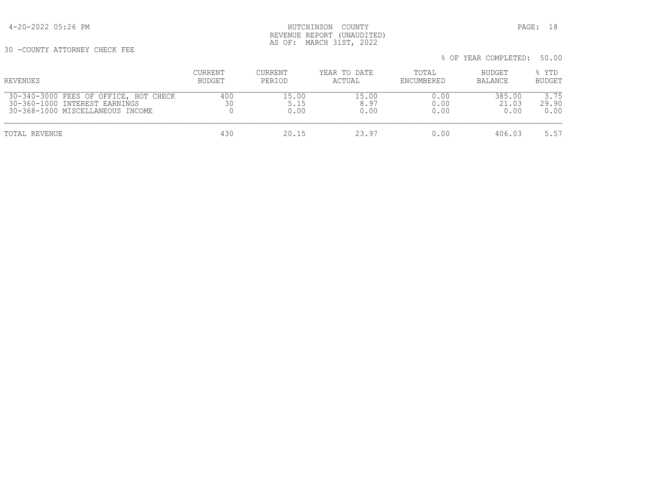4-20-2022 05:26 PM HUTCHINSON COUNTY PAGE: 18 REVENUE REPORT (UNAUDITED) AS OF: MARCH 31ST, 2022

30 -COUNTY ATTORNEY CHECK FEE

| REVENUES                                                                                                   | CURRENT<br>BUDGET | CURRENT<br>PERIOD     | YEAR TO DATE<br>ACTUAL | TOTAL<br>ENCUMBERED  | BUDGET<br>BALANCE       | % YTD<br><b>BUDGET</b> |
|------------------------------------------------------------------------------------------------------------|-------------------|-----------------------|------------------------|----------------------|-------------------------|------------------------|
| 30-340-3000 FEES OF OFFICE, HOT CHECK<br>30-360-1000 INTEREST EARNINGS<br>30-368-1000 MISCELLANEOUS INCOME | 400<br>30         | 15.00<br>5.15<br>0.00 | 15.00<br>8.97<br>0.00  | 0.00<br>0.00<br>0.00 | 385.00<br>21.03<br>0.00 | 3.75<br>29.90<br>0.00  |
| TOTAL REVENUE                                                                                              | 430               | 20.15                 | 23.97                  | 0.00                 | 406.03                  | 5.57                   |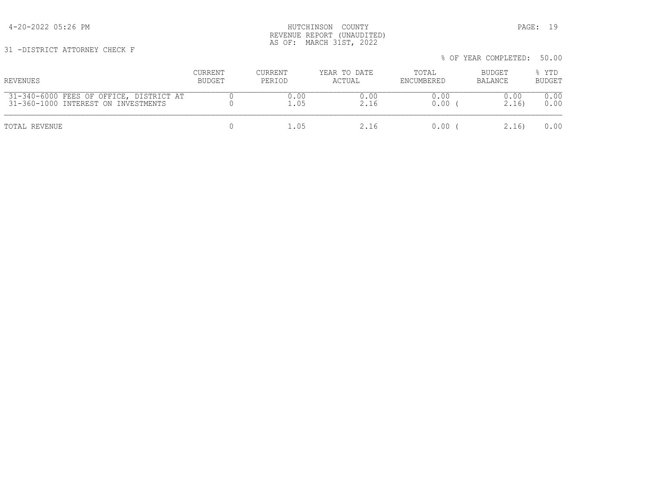4-20-2022 05:26 PM HUTCHINSON COUNTY PAGE: 19 REVENUE REPORT (UNAUDITED) AS OF: MARCH 31ST, 2022

31 -DISTRICT ATTORNEY CHECK F

|                                                                                |                          |                   |                        |                     | % OF YEAR COMPLETED: 50.00 |                        |  |
|--------------------------------------------------------------------------------|--------------------------|-------------------|------------------------|---------------------|----------------------------|------------------------|--|
| REVENUES                                                                       | CURRENT<br><b>BUDGET</b> | CURRENT<br>PERIOD | YEAR TO DATE<br>ACTUAL | TOTAL<br>ENCUMBERED | <b>BUDGET</b><br>BALANCE   | % YTD<br><b>BUDGET</b> |  |
| 31-340-6000 FEES OF OFFICE, DISTRICT AT<br>31-360-1000 INTEREST ON INVESTMENTS |                          | 0.00              |                        | J.OO<br>∩∩          | 16'                        |                        |  |

| AT ALO AGAG TUUN OL OLLIOU, DIGINICI AI<br>31-360-1000 INTEREST ON INVESTMENTS | <u>v.vv</u> | ◡.◡◡ | <u>v.vv</u><br>).OO | <u>v.vv</u><br>2.16) | <u>v.vv</u><br>0.00 |
|--------------------------------------------------------------------------------|-------------|------|---------------------|----------------------|---------------------|
| TOTAL REVENUE                                                                  |             |      | 0.00                | 2.16)                | 0.00                |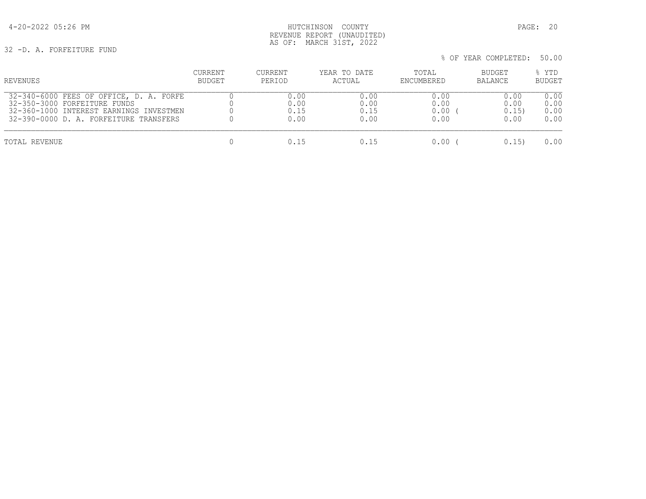# 4-20-2022 05:26 PM HUTCHINSON COUNTY PAGE: 20 REVENUE REPORT (UNAUDITED) AS OF: MARCH 31ST, 2022

32 -D. A. FORFEITURE FUND

| REVENUES                                | CURRENT       | CURRENT | YEAR TO DATE | TOTAL      | BUDGET         | % YTD         |
|-----------------------------------------|---------------|---------|--------------|------------|----------------|---------------|
|                                         | <b>BUDGET</b> | PERIOD  | ACTUAL       | ENCUMBERED | <b>BALANCE</b> | <b>BUDGET</b> |
| 32-340-6000 FEES OF OFFICE, D. A. FORFE |               | 0.00    | 0.00         | 0.00       | 0.00           | 0.00          |
| 32-350-3000 FORFEITURE FUNDS            |               | 0.00    | 0.00         | 0.00       | 0.00           | 0.00          |
| 32-360-1000 INTEREST EARNINGS INVESTMEN |               | 0.15    | 0.15         | 0.00       | 0.15)          | 0.00          |
| 32-390-0000 D. A. FORFEITURE TRANSFERS  |               | 0.00    | 0.00         | 0.00       | 0.00           | 0.00          |
| TOTAL REVENUE                           |               | 0.15    | 0.15         | 0.00       | 0.15           | 0.00          |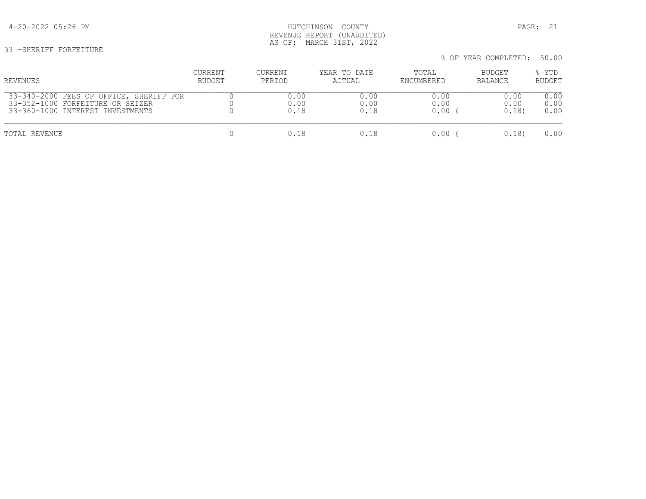# 4-20-2022 05:26 PM HUTCHINSON COUNTY PAGE: 21 REVENUE REPORT (UNAUDITED) AS OF: MARCH 31ST, 2022

33 -SHERIFF FORFEITURE

| REVENUES                                | CURRENT       | CURRENT | YEAR TO DATE | TOTAL      | BUDGET  | % YTD         |
|-----------------------------------------|---------------|---------|--------------|------------|---------|---------------|
|                                         | <b>BUDGET</b> | PERIOD  | ACTUAL       | ENCUMBERED | BALANCE | <b>BUDGET</b> |
| 33-340-2000 FEES OF OFFICE, SHERIFF FOR |               | 0.00    | 0.00         | 0.00       | 0.00    | 0.00          |
| 33-352-1000 FORFEITURE OR SEIZER        |               | 0.00    | 0.00         | 0.00       | 0.00    | 0.00          |
| 33-360-1000 INTEREST INVESTMENTS        |               | 0.18    | 0.18         | 0.00       | 0.18    | 0.00          |
| TOTAL REVENUE                           |               | 0.18    | 0.18         | 0.00       | 0.18    | 0.00          |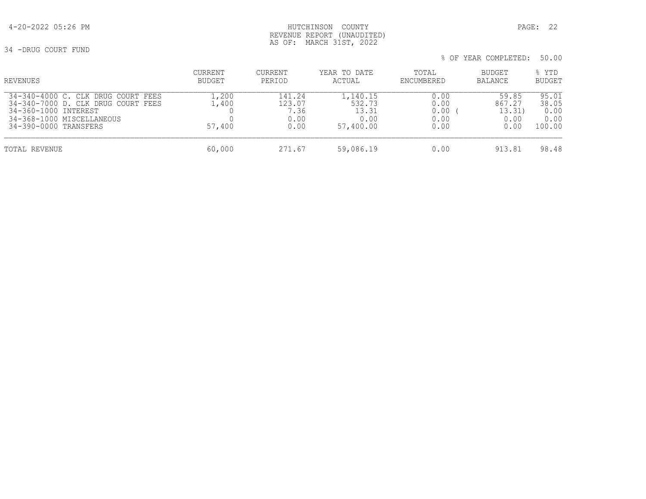# 4-20-2022 05:26 PM HUTCHINSON COUNTY PAGE: 22 REVENUE REPORT (UNAUDITED) AS OF: MARCH 31ST, 2022

34 -DRUG COURT FUND

| % OF YEAR COMPLETED: 50.00 |  |
|----------------------------|--|
|----------------------------|--|

| REVENUES                                                                                                                                               | CURRENT<br><b>BUDGET</b> | CURRENT<br>PERIOD                        | YEAR TO DATE<br>ACTUAL                           | TOTAL<br>ENCUMBERED                  | <b>BUDGET</b><br>BALANCE                  | % YTD<br><b>BUDGET</b>                   |
|--------------------------------------------------------------------------------------------------------------------------------------------------------|--------------------------|------------------------------------------|--------------------------------------------------|--------------------------------------|-------------------------------------------|------------------------------------------|
| 34-340-4000 C. CLK DRUG COURT FEES<br>34-340-7000 D. CLK DRUG COURT FEES<br>34-360-1000 INTEREST<br>34-368-1000 MISCELLANEOUS<br>34-390-0000 TRANSFERS | 1,200<br>1,400<br>57,400 | 141.24<br>123.07<br>7.36<br>0.00<br>0.00 | 1,140.15<br>532.73<br>13.31<br>0.00<br>57,400.00 | 0.00<br>0.00<br>0.00<br>0.00<br>0.00 | 59.85<br>867.27<br>13.31)<br>0.00<br>0.00 | 95.01<br>38.05<br>0.00<br>0.00<br>100.00 |
| TOTAL REVENUE                                                                                                                                          | 60,000                   | 271.67                                   | 59,086.19                                        | 0.00                                 | 913.81                                    | 98.48                                    |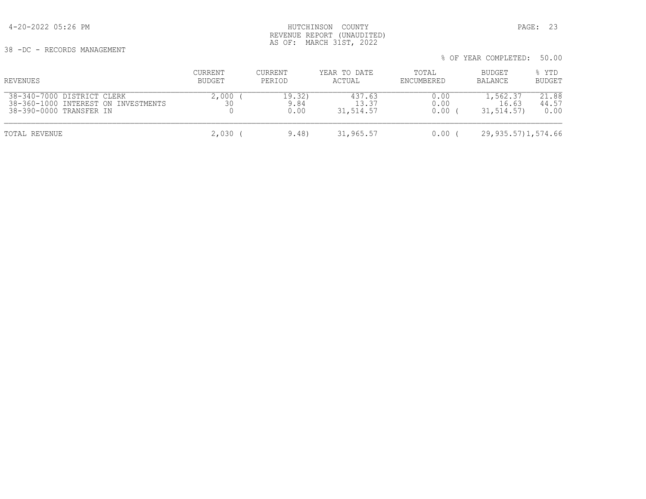38 -DC - RECORDS MANAGEMENT

 % OF YEAR COMPLETED: 50.00 CURRENT CURRENT YEAR TO DATE TOTAL BUDGET % YTD REVENUES BUDGET PERIOD ACTUAL ENCUMBERED BALANCE BUDGET 38-340-7000 DISTRICT CLERK 2,000 ( 19.32) 437.63 0.00 1,562.37 21.88 38-360-1000 INTEREST ON INVESTMENTS 30 9.84 13.37 0.00 16.63 44.57 38-390-0000 TRANSFER IN TOTAL REVENUE 2,030 ( 9.48) 31,965.57 0.00 ( 29,935.57)1,574.66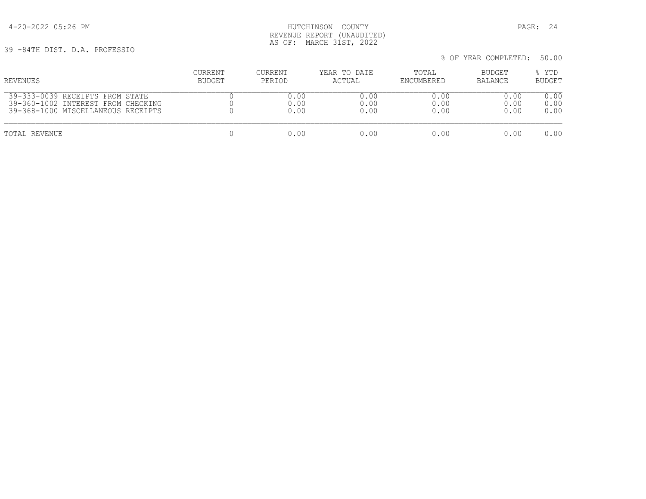4-20-2022 05:26 PM HUTCHINSON COUNTY PAGE: 24 REVENUE REPORT (UNAUDITED) AS OF: MARCH 31ST, 2022

39 -84TH DIST. D.A. PROFESSIO

| REVENUES                           | CURRENT | CURRENT | YEAR TO DATE | TOTAL      | BUDGET  | % YTD         |
|------------------------------------|---------|---------|--------------|------------|---------|---------------|
|                                    | BUDGET  | PERIOD  | ACTUAL       | ENCUMBERED | BALANCE | <b>BUDGET</b> |
| 39-333-0039 RECEIPTS FROM STATE    |         | 0.00    | 0.00         | 0.00       | 0.00    | 0.00          |
| 39-360-1002 INTEREST FROM CHECKING |         | 0.00    | 0.00         | 0.00       | 0.00    | 0.00          |
| 39-368-1000 MISCELLANEOUS RECEIPTS |         | 0.00    | 0.00         | 0.00       | 0.00    | 0.00          |
| TOTAL REVENUE                      |         | 0.00    | 0.00         | 0.00       | 0.00    | 0.00          |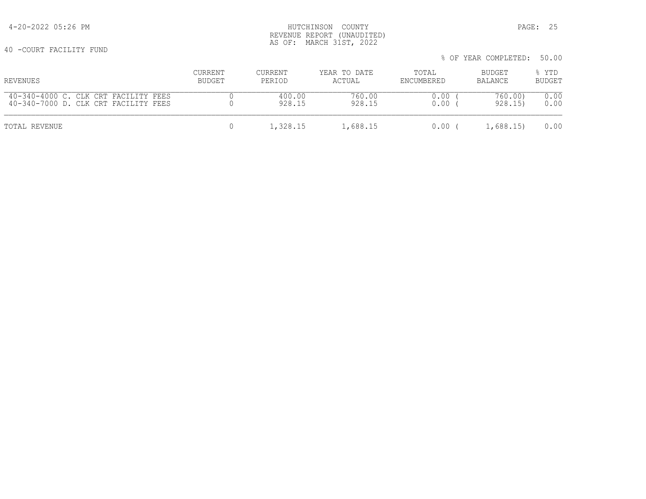40 -COURT FACILITY FUND

|                                      |                |          |              |            | % OF YEAR COMPLETED: 50.00 |        |
|--------------------------------------|----------------|----------|--------------|------------|----------------------------|--------|
| REVENUES                             | <b>CURRENT</b> | CURRENT  | YEAR TO DATE | TOTAL      | BUDGET                     | % YTD  |
|                                      | BUDGET         | PERIOD   | ACTUAL       | ENCUMBERED | BALANCE                    | BUDGET |
| 40-340-4000 C. CLK CRT FACILITY FEES |                | 400.00   | 760.00       | 0.00       | 760.00)                    | 0.00   |
| 40-340-7000 D. CLK CRT FACILITY FEES |                | 928.15   | 928.15       | 0.00       | 928.15)                    | 0.00   |
| TOTAL REVENUE                        |                | 1,328.15 | 1,688.15     | $0.00$ (   | 1,688.15                   | 0.00   |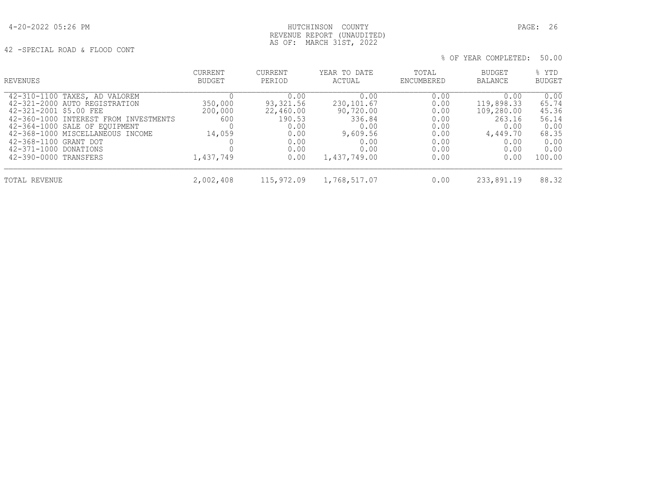# 4-20-2022 05:26 PM HUTCHINSON COUNTY PAGE: 26 REVENUE REPORT (UNAUDITED) AS OF: MARCH 31ST, 2022

42 -SPECIAL ROAD & FLOOD CONT

| REVENUES                                                                                                                                                                                                                                                                          | <b>CURRENT</b><br>BUDGET                         | <b>CURRENT</b><br>PERIOD                                                         | YEAR TO DATE<br>ACTUAL                                                                         | TOTAL<br>ENCUMBERED                                                  | BUDGET<br>BALANCE                                                                      | % YTD<br><b>BUDGET</b>                                                     |
|-----------------------------------------------------------------------------------------------------------------------------------------------------------------------------------------------------------------------------------------------------------------------------------|--------------------------------------------------|----------------------------------------------------------------------------------|------------------------------------------------------------------------------------------------|----------------------------------------------------------------------|----------------------------------------------------------------------------------------|----------------------------------------------------------------------------|
| 42-310-1100 TAXES, AD VALOREM<br>42-321-2000 AUTO REGISTRATION<br>42-321-2001 \$5.00 FEE<br>42-360-1000 INTEREST FROM INVESTMENTS<br>42-364-1000 SALE OF EQUIPMENT<br>42-368-1000 MISCELLANEOUS INCOME<br>42-368-1100 GRANT DOT<br>42-371-1000 DONATIONS<br>42-390-0000 TRANSFERS | 350,000<br>200,000<br>600<br>14,059<br>1,437,749 | 0.00<br>93,321.56<br>22,460.00<br>190.53<br>0.00<br>0.00<br>0.00<br>0.00<br>0.00 | 0.00<br>230, 101.67<br>90,720.00<br>336.84<br>0.00<br>9,609.56<br>0.00<br>0.00<br>1,437,749.00 | 0.00<br>0.00<br>0.00<br>0.00<br>0.00<br>0.00<br>0.00<br>0.00<br>0.00 | 0.00<br>119,898.33<br>109,280.00<br>263.16<br>0.00<br>4,449.70<br>0.00<br>0.00<br>0.00 | 0.00<br>65.74<br>45.36<br>56.14<br>0.00<br>68.35<br>0.00<br>0.00<br>100.00 |
| TOTAL REVENUE                                                                                                                                                                                                                                                                     | 2,002,408                                        | 115,972.09                                                                       | 1,768,517.07                                                                                   | 0.00                                                                 | 233,891.19                                                                             | 88.32                                                                      |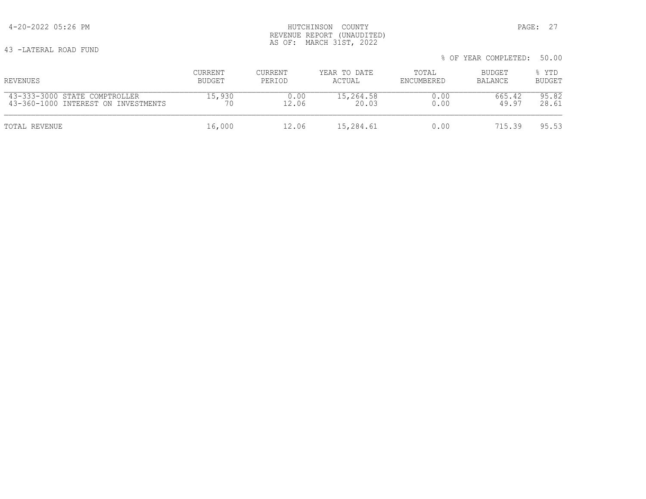43 -LATERAL ROAD FUND

|                                     |               |         |              |            | % OF YEAR COMPLETED: | 50.00         |
|-------------------------------------|---------------|---------|--------------|------------|----------------------|---------------|
| REVENUES                            | CURRENT       | CURRENT | YEAR TO DATE | TOTAL      | BUDGET               | % YTD         |
|                                     | <b>BUDGET</b> | PERIOD  | ACTUAL       | ENCUMBERED | BALANCE              | <b>BUDGET</b> |
| 43-333-3000 STATE COMPTROLLER       | 15,930        | 0.00    | 15,264.58    | 0.00       | 665.42               | 95.82         |
| 43-360-1000 INTEREST ON INVESTMENTS | 70            | 12.06   | 20.03        | 0.00       | 49.97                | 28.61         |
| TOTAL REVENUE                       | 16,000        | 12.06   | 15,284.61    | 0.00       | 715.39               | 95.53         |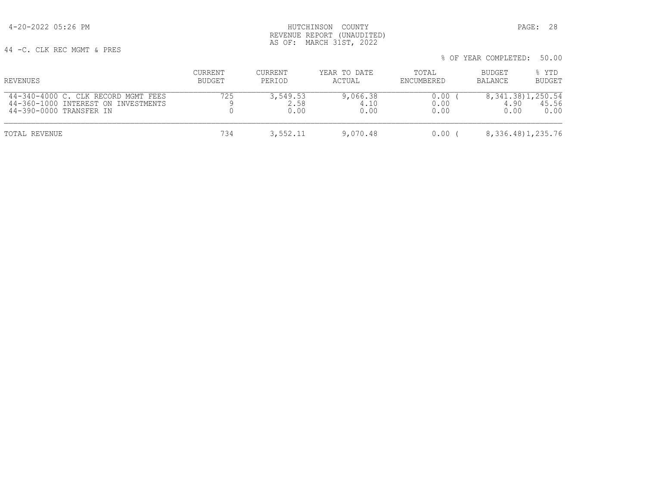4-20-2022 05:26 PM HUTCHINSON COUNTY PAGE: 28 REVENUE REPORT (UNAUDITED) AS OF: MARCH 31ST, 2022

44 -C. CLK REC MGMT & PRES

| REVENUES                                                                                              | CURRENT<br>BUDGET | <b>CURRENT</b><br>PERIOD | YEAR TO DATE<br>ACTUAL   | TOTAL<br>ENCUMBERED  | BUDGET<br>BALANCE | % YTD<br><b>BUDGET</b>                  |
|-------------------------------------------------------------------------------------------------------|-------------------|--------------------------|--------------------------|----------------------|-------------------|-----------------------------------------|
| 44-340-4000 C. CLK RECORD MGMT FEES<br>44-360-1000 INTEREST ON INVESTMENTS<br>44-390-0000 TRANSFER IN | 725               | 3,549.53<br>2.58<br>0.00 | 9,066.38<br>4.10<br>0.00 | 0.00<br>0.00<br>0.00 | 4.90<br>0.00      | 8, 341, 38) 1, 250, 54<br>45.56<br>0.00 |
| TOTAL REVENUE                                                                                         | 734               | 3,552.11                 | 9,070.48                 | 0.00                 |                   | 8, 336. 48) 1, 235. 76                  |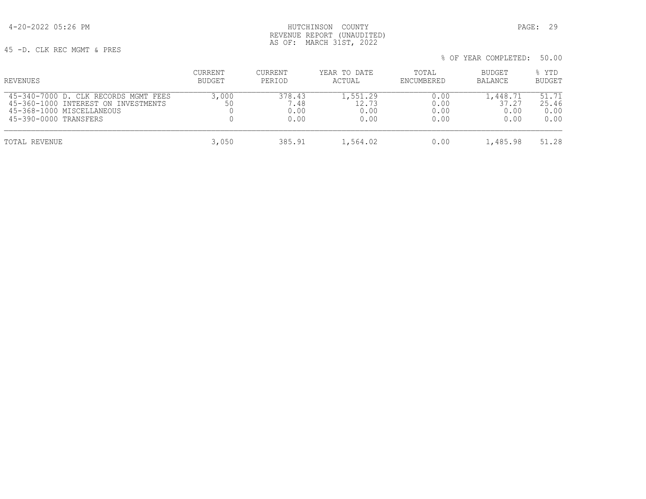4-20-2022 05:26 PM HUTCHINSON COUNTY PAGE: 29 REVENUE REPORT (UNAUDITED) AS OF: MARCH 31ST, 2022

45 -D. CLK REC MGMT & PRES

 % OF YEAR COMPLETED: 50.00 CURRENT CURRENT YEAR TO DATE TOTAL BUDGET % YTD REVENUES BUDGET PERIOD ACTUAL ENCUMBERED BALANCE BUDGET 45-340-7000 D. CLK RECORDS MGMT FEES 3,000 378.43 1,551.29 0.00 1,448.71 51.71 45-360-1000 INTEREST ON INVESTMENTS 50 7.48 12.73 0.00 37.27 25.46 45-368-1000 MISCELLANEOUS 0 0.00 0.00 0.00 0.00 0.00 45-390-0000 TRANSFERS TOTAL REVENUE 3,050 385.91 1,564.02 0.00 1,485.98 51.28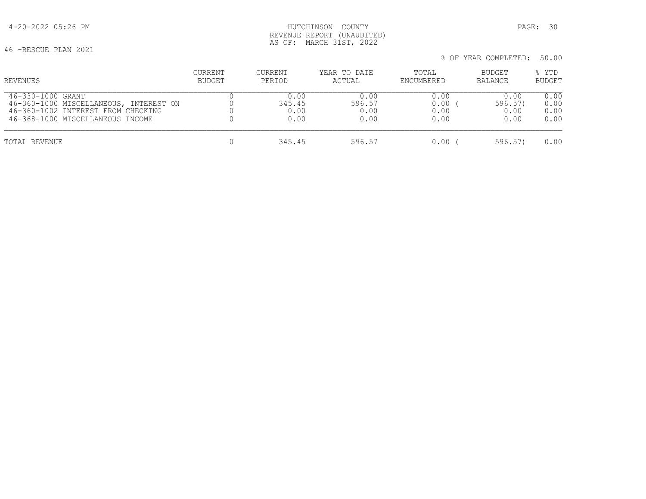# 4-20-2022 05:26 PM HUTCHINSON COUNTY PAGE: 30 REVENUE REPORT (UNAUDITED) AS OF: MARCH 31ST, 2022

46 -RESCUE PLAN 2021

| REVENUES                               | CURRENT | CURRENT | YEAR TO DATE | TOTAL      | BUDGET  | % YTD         |
|----------------------------------------|---------|---------|--------------|------------|---------|---------------|
|                                        | BUDGET  | PERIOD  | ACTUAL       | ENCUMBERED | BALANCE | <b>BUDGET</b> |
| 46-330-1000 GRANT                      |         | 0.00    | 0.00         | 0.00       | 0.00    | 0.00          |
| 46-360-1000 MISCELLANEOUS, INTEREST ON |         | 345.45  | 596.57       | 0.00       | 596.57  | 0.00          |
| 46-360-1002 INTEREST FROM CHECKING     |         | 0.00    | 0.00         | 0.00       | 0.00    | 0.00          |
| 46-368-1000 MISCELLANEOUS INCOME       |         | 0.00    | 0.00         | 0.00       | 0.00    | 0.00          |
| TOTAL REVENUE                          |         | 345.45  | 596.57       | 0.00       | 596.57  | 0.00          |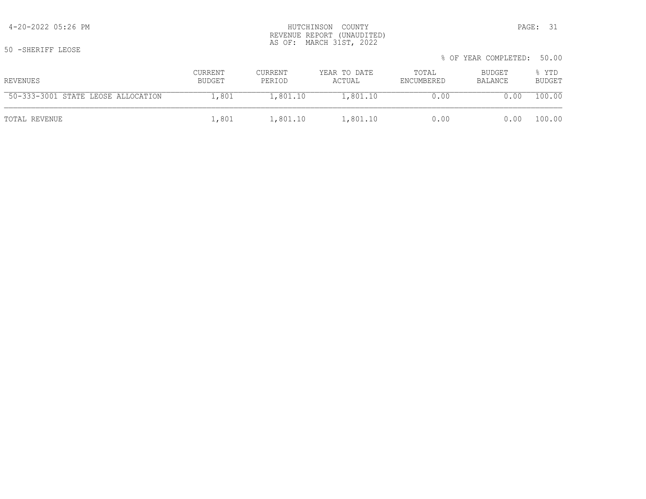|                                    |                   |                   |                        |                     | % OF YEAR COMPLETED: 50.00 |                        |
|------------------------------------|-------------------|-------------------|------------------------|---------------------|----------------------------|------------------------|
| REVENUES                           | CURRENT<br>BUDGET | CURRENT<br>PERIOD | YEAR TO DATE<br>ACTUAL | TOTAL<br>ENCUMBERED | BUDGET<br>BALANCE          | % YTD<br><b>BUDGET</b> |
| 50-333-3001 STATE LEOSE ALLOCATION | 1,801             | 1,801.10          | 1,801.10               | 0.00                | 0.00                       | 100.00                 |
| TOTAL REVENUE                      | 1,801             | 1,801.10          | 1,801.10               | 0.00                | 0.00                       | 100.00                 |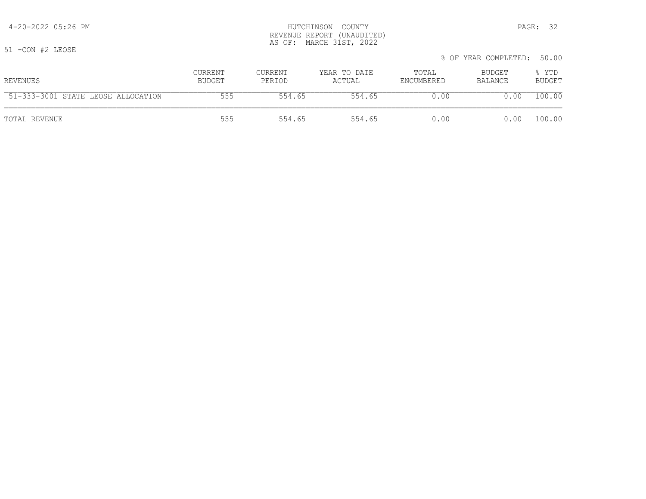#### 4-20-2022 05:26 PM HUTCHINSON COUNTY PAGE: 32 REVENUE REPORT (UNAUDITED) AS OF: MARCH 31ST, 2022

51 -CON #2 LEOSE

|                                    |                   |                   |                        | % OF YEAR COMPLETED: 50.00 |                   |                 |
|------------------------------------|-------------------|-------------------|------------------------|----------------------------|-------------------|-----------------|
| REVENUES                           | CURRENT<br>BUDGET | CURRENT<br>PERIOD | YEAR TO DATE<br>ACTUAL | TOTAL<br>ENCUMBERED        | BUDGET<br>BALANCE | % YTD<br>BUDGET |
| 51-333-3001 STATE LEOSE ALLOCATION | 555               | 554.65            | 554.65                 | 0.00                       | 0.00              | 100.00          |

TOTAL REVENUE 555 554.65 554.65 0.00 0.00 100.00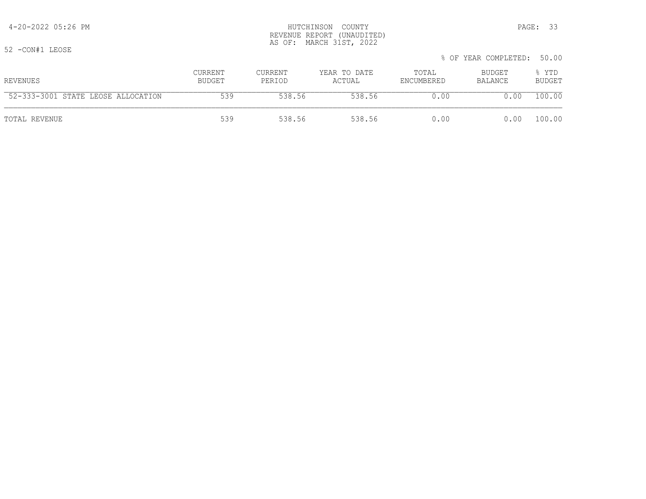#### 4-20-2022 05:26 PM HUTCHINSON COUNTY PAGE: 33 REVENUE REPORT (UNAUDITED) AS OF: MARCH 31ST, 2022

52 -CON#1 LEOSE

| --- ------ ----- |               |         |              |            | % OF YEAR COMPLETED: 50.00 |               |
|------------------|---------------|---------|--------------|------------|----------------------------|---------------|
| REVENUES         | CURRENT       | CURRENT | YEAR TO DATE | TOTAL      | BUDGET                     | % YTD         |
|                  | <b>BUDGET</b> | PERIOD  | ACTUAL       | ENCUMBERED | BALANCE                    | <b>BUDGET</b> |

| <b>E</b> 0<br>ALLOCATION<br>с⊞⊼⊞ঢ<br>I FOSE L<br>$\mathcal{L} \rightarrow \mathcal{L}$ | 539 |        | 138 56 | n n  | ,00         | ∩∩<br>. 00 |
|----------------------------------------------------------------------------------------|-----|--------|--------|------|-------------|------------|
| TOTAL REVENUE                                                                          |     | 538 56 | 538.56 | 0.00 | 0.00 100.00 |            |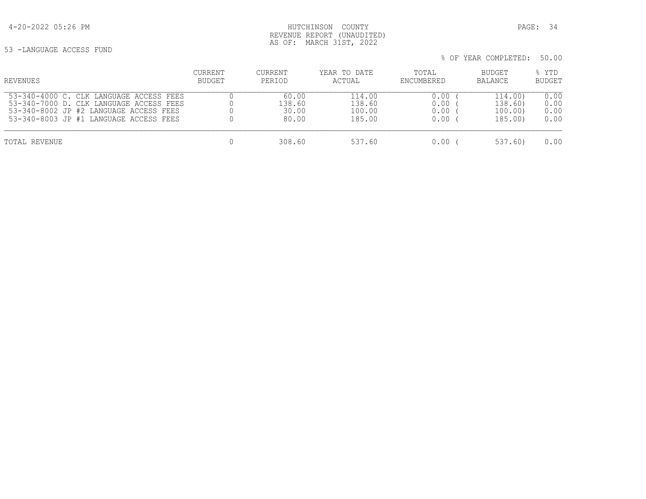4-20-2022 05:26 PM HUTCHINSON COUNTY PAGE: 34 REVENUE REPORT (UNAUDITED) AS OF: MARCH 31ST, 2022

53 -LANGUAGE ACCESS FUND

| REVENUES                                | CURRENT       | CURRENT | YEAR TO DATE | TOTAL      | BUDGET         | % YTD         |
|-----------------------------------------|---------------|---------|--------------|------------|----------------|---------------|
|                                         | <b>BUDGET</b> | PERIOD  | ACTUAL       | ENCUMBERED | <b>BALANCE</b> | <b>BUDGET</b> |
| 53-340-4000 C. CLK LANGUAGE ACCESS FEES |               | 60.00   | 114.00       | 0.00       | 114.00)        | 0.00          |
| 53-340-7000 D. CLK LANGUAGE ACCESS FEES |               | 138.60  | 138.60       | 0.00       | 138.60)        | 0.00          |
| 53-340-8002 JP #2 LANGUAGE ACCESS FEES  |               | 30.00   | 100.00       | 0.00       | 100.00)        | 0.00          |
| 53-340-8003 JP #1 LANGUAGE ACCESS FEES  |               | 80.00   | 185.00       | 0.00       | 185.00)        | 0.00          |
| TOTAL REVENUE                           |               | 308.60  | 537.60       | 0.00       | 537.60)        | 0.00          |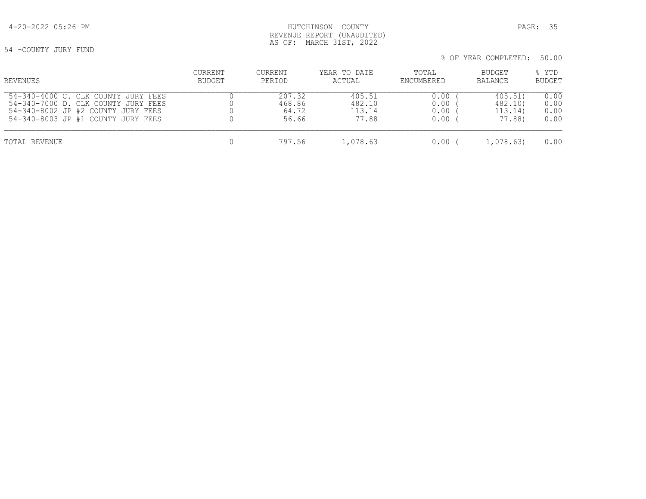54 -COUNTY JURY FUND

| REVENUES                            | CURRENT | CURRENT | YEAR TO DATE | TOTAL      | BUDGET    | % YTD         |
|-------------------------------------|---------|---------|--------------|------------|-----------|---------------|
|                                     | BUDGET  | PERIOD  | ACTUAL       | ENCUMBERED | BALANCE   | <b>BUDGET</b> |
| 54-340-4000 C. CLK COUNTY JURY FEES |         | 207.32  | 405.51       | 0.00       | 405.51)   | 0.00          |
| 54-340-7000 D. CLK COUNTY JURY FEES |         | 468.86  | 482.10       | 0.00       | 482.10)   | 0.00          |
| 54-340-8002 JP #2 COUNTY JURY FEES  |         | 64.72   | 113.14       | 0.00       | 113.14)   | 0.00          |
| 54-340-8003 JP #1 COUNTY JURY FEES  |         | 56.66   | 77.88        | 0.00       | 77.88)    | 0.00          |
| TOTAL REVENUE                       |         | 797.56  | 1,078.63     | 0.00       | 1,078.63) | 0.00          |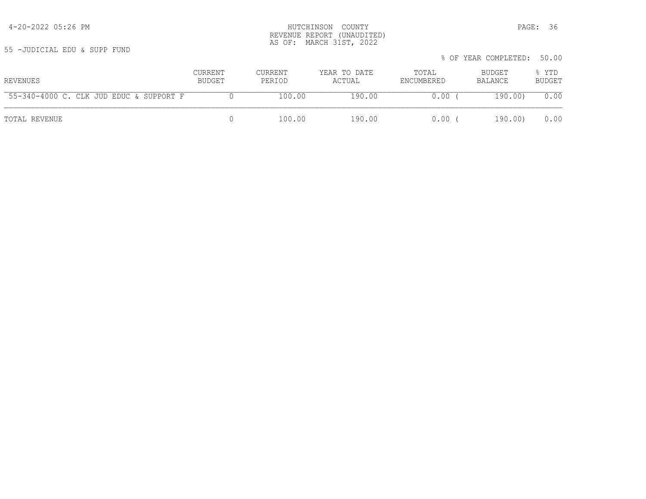55 -JUDICIAL EDU & SUPP FUND

| REVENUES                                | CURRENT<br>BUDGET | CURRENT<br>PERIOD | YEAR TO DATE<br>ACTUAL | TOTAL<br>ENCUMBERED | BUDGET<br>BALANCE | % YTD<br><b>BUDGET</b> |
|-----------------------------------------|-------------------|-------------------|------------------------|---------------------|-------------------|------------------------|
| 55-340-4000 C. CLK JUD EDUC & SUPPORT F |                   | 100.00            | 190.00                 | 0.00                | 190.00)           | 0.00                   |
| TOTAL REVENUE                           |                   | 100.00            | 190.00                 | 0.00                | 190.00)           | 0.00                   |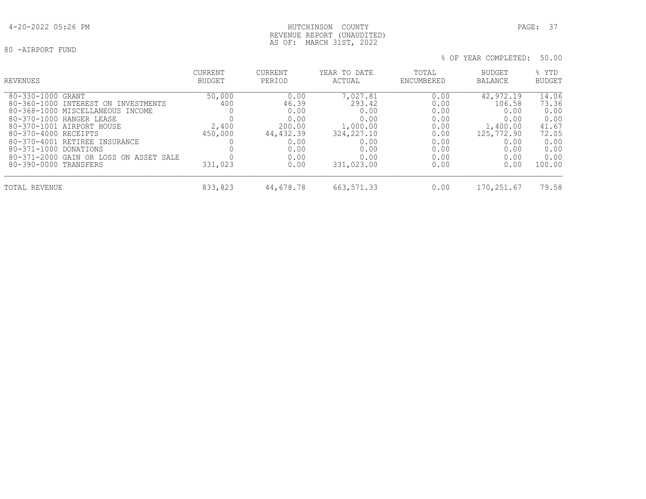# 4-20-2022 05:26 PM HUTCHINSON COUNTY PAGE: 37 REVENUE REPORT (UNAUDITED) AS OF: MARCH 31ST, 2022

| REVENUES                                                                                                                                                                                                                                                                             | <b>CURRENT</b>                    | <b>CURRENT</b>                                                               | YEAR TO DATE                                                                          | TOTAL                                                                | <b>BUDGET</b>                                                                         | % YTD                                                                    |
|--------------------------------------------------------------------------------------------------------------------------------------------------------------------------------------------------------------------------------------------------------------------------------------|-----------------------------------|------------------------------------------------------------------------------|---------------------------------------------------------------------------------------|----------------------------------------------------------------------|---------------------------------------------------------------------------------------|--------------------------------------------------------------------------|
|                                                                                                                                                                                                                                                                                      | <b>BUDGET</b>                     | PERIOD                                                                       | ACTUAL                                                                                | ENCUMBERED                                                           | <b>BALANCE</b>                                                                        | <b>BUDGET</b>                                                            |
| 80-330-1000<br>GRANT<br>80-360-1000 INTEREST ON INVESTMENTS<br>80-368-1000 MISCELLANEOUS INCOME<br>80-370-1000 HANGER LEASE<br>80-370-1001 AIRPORT HOUSE<br>80-370-4000 RECEIPTS<br>80-370-4001 RETIREE INSURANCE<br>80-371-1000 DONATIONS<br>80-371-2000 GAIN OR LOSS ON ASSET SALE | 50,000<br>400<br>2,400<br>450,000 | 0.00<br>46.39<br>0.00<br>0.00<br>200.00<br>44,432.39<br>0.00<br>0.00<br>0.00 | 7,027.81<br>293.42<br>0.00<br>0.00<br>1,000.00<br>324, 227.10<br>0.00<br>0.00<br>0.00 | 0.00<br>0.00<br>0.00<br>0.00<br>0.00<br>0.00<br>0.00<br>0.00<br>0.00 | 42,972.19<br>106.58<br>0.00<br>0.00<br>1,400.00<br>125,772.90<br>0.00<br>0.00<br>0.00 | 14.06<br>73.36<br>0.00<br>0.00<br>41.67<br>72.05<br>0.00<br>0.00<br>0.00 |
| 80-390-0000 TRANSFERS                                                                                                                                                                                                                                                                | 331,023                           | 0.00                                                                         | 331,023.00                                                                            | 0.00                                                                 | 0.00                                                                                  | 100.00                                                                   |
| TOTAL REVENUE                                                                                                                                                                                                                                                                        | 833,823                           | 44,678.78                                                                    | 663, 571.33                                                                           | 0.00                                                                 | 170,251.67                                                                            | 79.58                                                                    |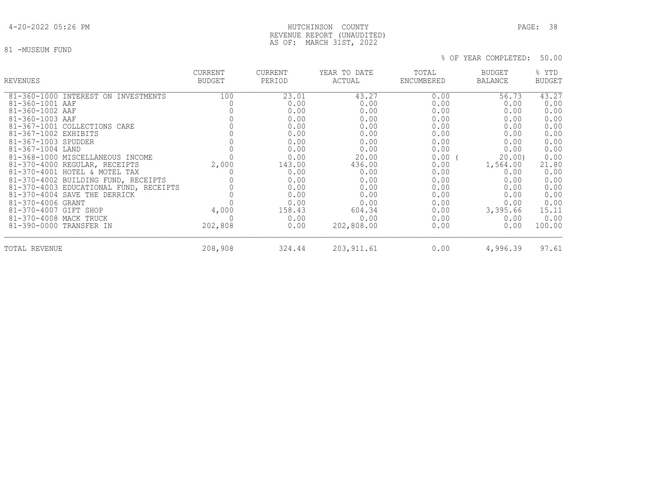# 4-20-2022 05:26 PM HUTCHINSON COUNTY PAGE: 38 REVENUE REPORT (UNAUDITED) AS OF: MARCH 31ST, 2022

81 -MUSEUM FUND

| <b>REVENUES</b>                        | <b>CURRENT</b><br><b>BUDGET</b> | <b>CURRENT</b><br>PERIOD | YEAR TO DATE<br>ACTUAL | TOTAL<br>ENCUMBERED | <b>BUDGET</b><br><b>BALANCE</b> | % YTD<br><b>BUDGET</b> |
|----------------------------------------|---------------------------------|--------------------------|------------------------|---------------------|---------------------------------|------------------------|
| 81-360-1000 INTEREST ON INVESTMENTS    | 100                             | 23.01                    | 43.27                  | 0.00                | 56.73                           | 43.27                  |
| 81-360-1001 AAF                        |                                 | 0.00                     | 0.00                   | 0.00                | 0.00                            | 0.00                   |
| 81-360-1002 AAF                        |                                 | 0.00                     | 0.00                   | 0.00                | 0.00                            | 0.00                   |
| 81-360-1003 AAF                        |                                 | 0.00                     | 0.00                   | 0.00                | 0.00                            | 0.00                   |
| 81-367-1001 COLLECTIONS CARE           |                                 | 0.00                     | 0.00                   | 0.00                | 0.00                            | 0.00                   |
| 81-367-1002 EXHIBITS                   |                                 | 0.00                     | 0.00                   | 0.00                | 0.00                            | 0.00                   |
| 81-367-1003 SPUDDER                    |                                 | 0.00                     | 0.00                   | 0.00                | 0.00                            | 0.00                   |
| 81-367-1004 LAND                       |                                 | 0.00                     | 0.00                   | 0.00                | 0.00                            | 0.00                   |
| 81-368-1000 MISCELLANEOUS INCOME       |                                 | 0.00                     | 20.00                  | 0.00(               | 20.00                           | 0.00                   |
| 81-370-4000 REGULAR, RECEIPTS          | 2,000                           | 143.00                   | 436.00                 | 0.00                | 1,564.00                        | 21.80                  |
| 81-370-4001 HOTEL & MOTEL TAX          |                                 | 0.00                     | 0.00                   | 0.00                | 0.00                            | 0.00                   |
| 81-370-4002 BUILDING FUND, RECEIPTS    |                                 | 0.00                     | 0.00                   | 0.00                | 0.00                            | 0.00                   |
| 81-370-4003 EDUCATIONAL FUND, RECEIPTS |                                 | 0.00                     | 0.00                   | 0.00                | 0.00                            | 0.00                   |
| 81-370-4004 SAVE THE DERRICK           |                                 | 0.00                     | 0.00                   | 0.00                | 0.00                            | 0.00                   |
| 81-370-4006 GRANT                      |                                 | 0.00                     | 0.00                   | 0.00                | 0.00                            | 0.00                   |
| 81-370-4007 GIFT SHOP                  | 4,000                           | 158.43                   | 604.34                 | 0.00                | 3,395.66                        | 15.11                  |
| 81-370-4008 MACK TRUCK                 | $\Omega$                        | 0.00                     | 0.00                   | 0.00                | 0.00                            | 0.00                   |
| 81-390-0000 TRANSFER IN                | 202,808                         | 0.00                     | 202,808.00             | 0.00                | 0.00                            | 100.00                 |
| TOTAL REVENUE                          | 208,908                         | 324.44                   | 203, 911.61            | 0.00                | 4,996.39                        | 97.61                  |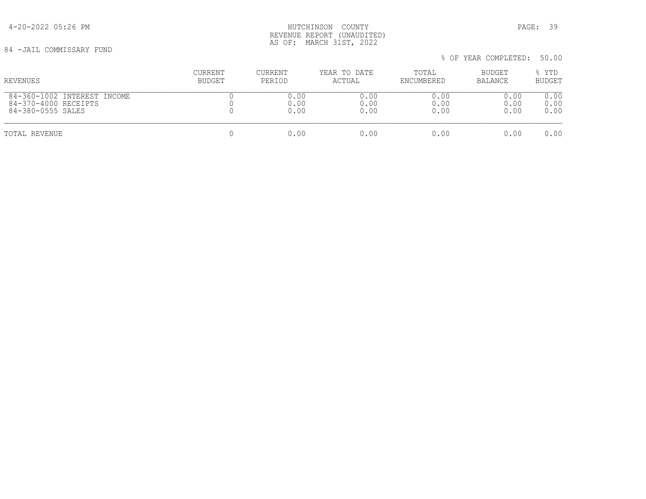4-20-2022 05:26 PM HUTCHINSON COUNTY PAGE: 39 REVENUE REPORT (UNAUDITED) AS OF: MARCH 31ST, 2022

84 -JAIL COMMISSARY FUND

% OF YEAR COMPLETED: 50.00

 CURRENT CURRENT YEAR TO DATE TOTAL BUDGET % YTD REVENUES BUDGET PERIOD ACTUAL ENCUMBERED BALANCE BUDGET  $\begin{array}{cccccccccccccc} 84-360-1002 & \text{INTEREST INCOME} & & & & & 0 & & & 0.00 & & & & 0.00 & & & & 0.00 & & & & 0.00 & & & & 0.00 & & & & & 0.00 & & & & & 0.00 & & & & & 0.00 & & & & & 0.00 & & & & & & 0.00 & & & & & & 0.00 & & & & & & 0.00 & & & & & & 0.00 & & & & & & 0.00 & & & & & & 0.00 & & & & & & 0.00 & & & & & & 0.00 & & & & & & & 0$  84-370-4000 RECEIPTS 0 0.00 0.00 0.00 0.00 0.00 84-380-0555 SALES

TOTAL REVENUE 0 0.00 0.00 0.00 0.00 0.00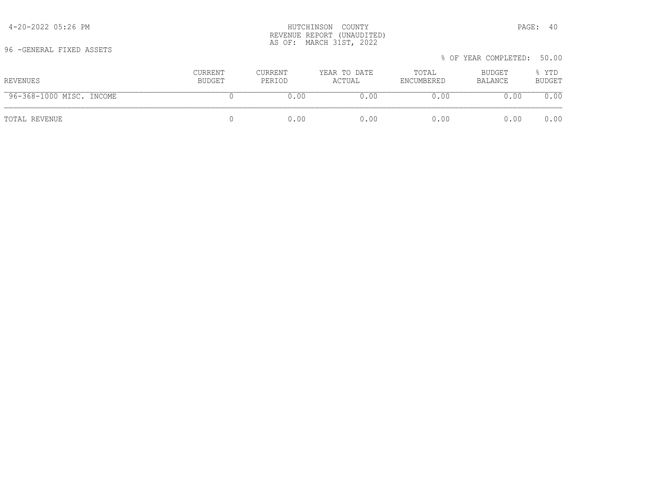| REVENUES                 | CURRENT<br>BUDGET | CURRENT<br>PERIOD | YEAR TO DATE<br>ACTUAL | TOTAL<br>ENCUMBERED | BUDGET<br>BALANCE | % YTD<br><b>BUDGET</b> |
|--------------------------|-------------------|-------------------|------------------------|---------------------|-------------------|------------------------|
| 96-368-1000 MISC. INCOME |                   | 0.00              | 0.00                   | 0.00                | 0.00              | 0.00                   |
| TOTAL REVENUE            |                   | 0.00              | 0.00                   | 0.00                | 0.00              | 0.00                   |